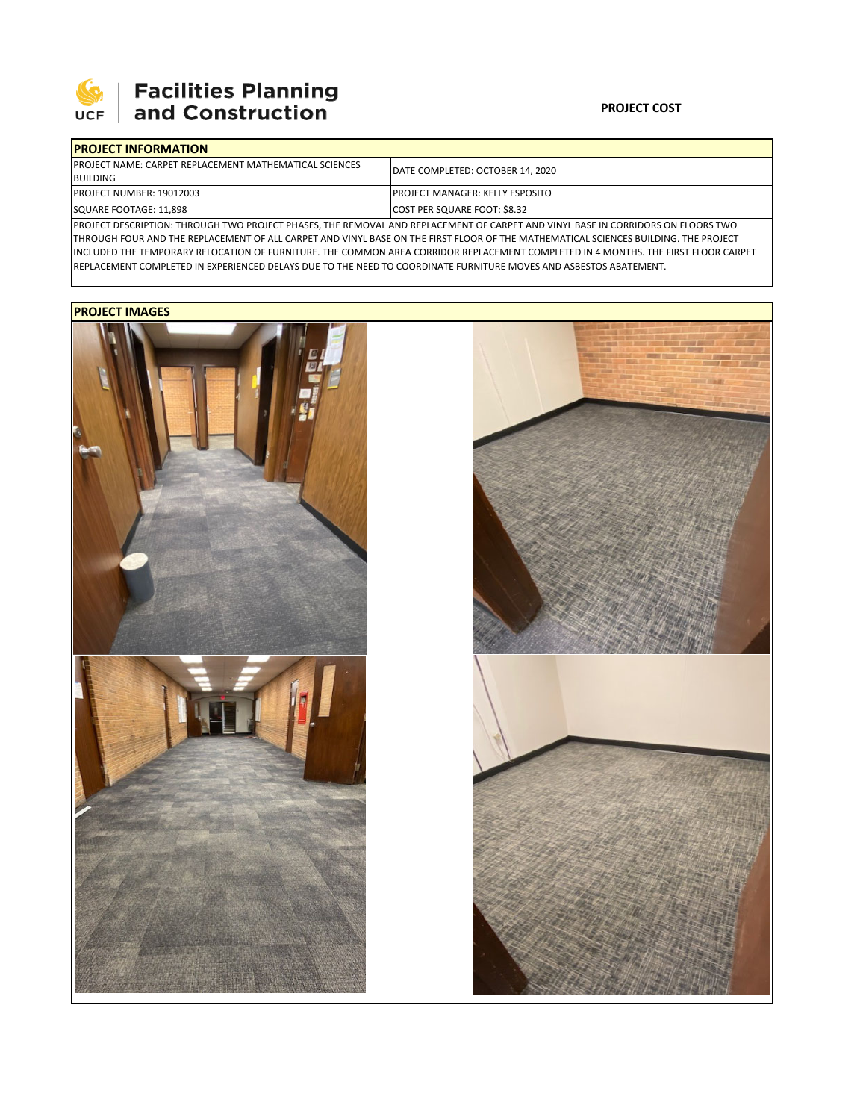

# 

### **PROJECT COST**

| <b>IPROJECT INFORMATION</b>                                                                                                             |                                         |  |  |  |  |
|-----------------------------------------------------------------------------------------------------------------------------------------|-----------------------------------------|--|--|--|--|
| <b>IPROJECT NAME: CARPET REPLACEMENT MATHEMATICAL SCIENCES</b>                                                                          | DATE COMPLETED: OCTOBER 14, 2020        |  |  |  |  |
| <b>BUILDING</b>                                                                                                                         |                                         |  |  |  |  |
| <b>PROJECT NUMBER: 19012003</b>                                                                                                         | <b>IPROJECT MANAGER: KELLY ESPOSITO</b> |  |  |  |  |
| SQUARE FOOTAGE: 11,898                                                                                                                  | COST PER SQUARE FOOT: \$8.32            |  |  |  |  |
| <b>IDDOJECT DECCRIPTION, TURQUCU TWO DROJECT BUACES TUE REMOVAL AND REBLACEMENT OF SARRET AND VINNU BASE IN CORRIDORS ON ELOORS TWO</b> |                                         |  |  |  |  |

PROJECT DESCRIPTION: THROUGH TWO PROJECT PHASES, THE REMOVAL AND REPLACEMENT OF CARPET AND VINYL BASE IN CORRIDORS ON FLOORS TWO THROUGH FOUR AND THE REPLACEMENT OF ALL CARPET AND VINYL BASE ON THE FIRST FLOOR OF THE MATHEMATICAL SCIENCES BUILDING. THE PROJECT INCLUDED THE TEMPORARY RELOCATION OF FURNITURE. THE COMMON AREA CORRIDOR REPLACEMENT COMPLETED IN 4 MONTHS. THE FIRST FLOOR CARPET REPLACEMENT COMPLETED IN EXPERIENCED DELAYS DUE TO THE NEED TO COORDINATE FURNITURE MOVES AND ASBESTOS ABATEMENT.

## **PROJECT IMAGES**